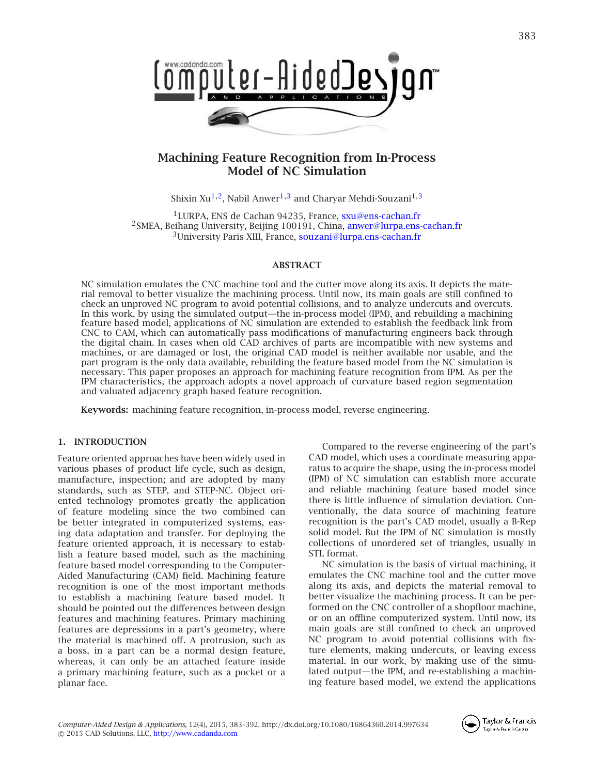

# **Machining Feature Recognition from In-Process Model of NC Simulation**

<span id="page-0-2"></span><span id="page-0-0"></span>Shixin Xu<sup>1,2</sup>, Nabil Anwer<sup>1,[3](#page-0-2)</sup> and Charyar Mehdi-Souzani<sup>1,3</sup>

<span id="page-0-1"></span>1LURPA, ENS de Cachan 94235, France, [sxu@ens-cachan.fr](mailto:sxu@ens-cachan.fr) <sup>2</sup>SMEA, Beihang University, Beijing 100191, China, [anwer@lurpa.ens-cachan.fr](mailto:anwer@lurpa.ens-cachan.fr) <sup>3</sup>University Paris XIII, France, [souzani@lurpa.ens-cachan.fr](mailto:souzani@lurpa.ens-cachan.fr)

## **ABSTRACT**

NC simulation emulates the CNC machine tool and the cutter move along its axis. It depicts the material removal to better visualize the machining process. Until now, its main goals are still confined to check an unproved NC program to avoid potential collisions, and to analyze undercuts and overcuts. In this work, by using the simulated output—the in-process model (IPM), and rebuilding a machining feature based model, applications of NC simulation are extended to establish the feedback link from CNC to CAM, which can automatically pass modifications of manufacturing engineers back through the digital chain. In cases when old CAD archives of parts are incompatible with new systems and machines, or are damaged or lost, the original CAD model is neither available nor usable, and the part program is the only data available, rebuilding the feature based model from the NC simulation is necessary. This paper proposes an approach for machining feature recognition from IPM. As per the IPM characteristics, the approach adopts a novel approach of curvature based region segmentation and valuated adjacency graph based feature recognition.

**Keywords:** machining feature recognition, in-process model, reverse engineering.

## **1. INTRODUCTION**

Feature oriented approaches have been widely used in various phases of product life cycle, such as design, manufacture, inspection; and are adopted by many standards, such as STEP, and STEP-NC. Object oriented technology promotes greatly the application of feature modeling since the two combined can be better integrated in computerized systems, easing data adaptation and transfer. For deploying the feature oriented approach, it is necessary to establish a feature based model, such as the machining feature based model corresponding to the Computer-Aided Manufacturing (CAM) field. Machining feature recognition is one of the most important methods to establish a machining feature based model. It should be pointed out the differences between design features and machining features. Primary machining features are depressions in a part's geometry, where the material is machined off. A protrusion, such as a boss, in a part can be a normal design feature, whereas, it can only be an attached feature inside a primary machining feature, such as a pocket or a planar face.

Compared to the reverse engineering of the part's CAD model, which uses a coordinate measuring apparatus to acquire the shape, using the in-process model (IPM) of NC simulation can establish more accurate and reliable machining feature based model since there is little influence of simulation deviation. Conventionally, the data source of machining feature recognition is the part's CAD model, usually a B-Rep solid model. But the IPM of NC simulation is mostly collections of unordered set of triangles, usually in STL format.

NC simulation is the basis of virtual machining, it emulates the CNC machine tool and the cutter move along its axis, and depicts the material removal to better visualize the machining process. It can be performed on the CNC controller of a shopfloor machine, or on an offline computerized system. Until now, its main goals are still confined to check an unproved NC program to avoid potential collisions with fixture elements, making undercuts, or leaving excess material. In our work, by making use of the simulated output—the IPM, and re-establishing a machining feature based model, we extend the applications

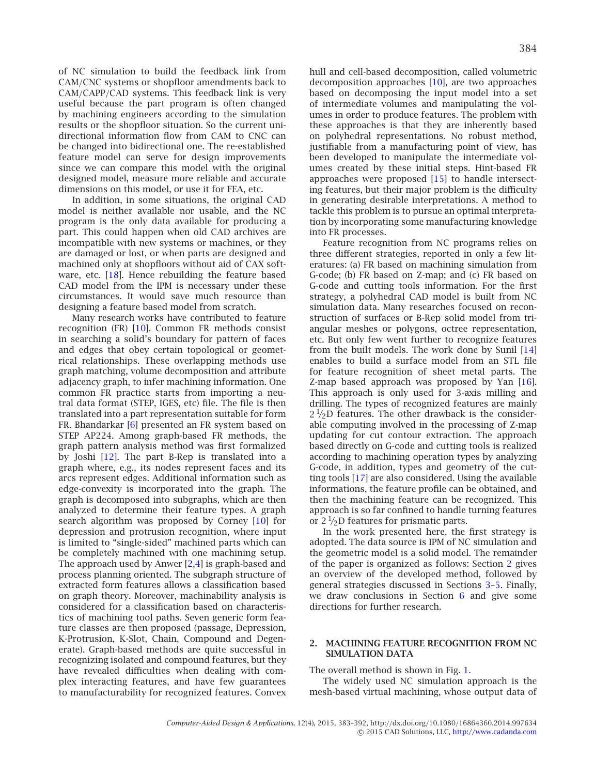of NC simulation to build the feedback link from CAM/CNC systems or shopfloor amendments back to CAM/CAPP/CAD systems. This feedback link is very useful because the part program is often changed by machining engineers according to the simulation results or the shopfloor situation. So the current unidirectional information flow from CAM to CNC can be changed into bidirectional one. The re-established feature model can serve for design improvements since we can compare this model with the original designed model, measure more reliable and accurate dimensions on this model, or use it for FEA, etc.

In addition, in some situations, the original CAD model is neither available nor usable, and the NC program is the only data available for producing a part. This could happen when old CAD archives are incompatible with new systems or machines, or they are damaged or lost, or when parts are designed and machined only at shopfloors without aid of CAX software, etc.  $[18]$ . Hence rebuilding the feature based CAD model from the IPM is necessary under these circumstances. It would save much resource than designing a feature based model from scratch.

Many research works have contributed to feature recognition (FR) [\[10](#page-9-1)]. Common FR methods consist in searching a solid's boundary for pattern of faces and edges that obey certain topological or geometrical relationships. These overlapping methods use graph matching, volume decomposition and attribute adjacency graph, to infer machining information. One common FR practice starts from importing a neutral data format (STEP, IGES, etc) file. The file is then translated into a part representation suitable for form FR. Bhandarkar [\[6\]](#page-8-0) presented an FR system based on STEP AP224. Among graph-based FR methods, the graph pattern analysis method was first formalized by Joshi [\[12](#page-9-2)]. The part B-Rep is translated into a graph where, e.g., its nodes represent faces and its arcs represent edges. Additional information such as edge-convexity is incorporated into the graph. The graph is decomposed into subgraphs, which are then analyzed to determine their feature types. A graph search algorithm was proposed by Corney [\[10\]](#page-9-1) for depression and protrusion recognition, where input is limited to "single-sided" machined parts which can be completely machined with one machining setup. The approach used by Anwer [\[2](#page-8-1)[,4](#page-8-2)] is graph-based and process planning oriented. The subgraph structure of extracted form features allows a classification based on graph theory. Moreover, machinability analysis is considered for a classification based on characteristics of machining tool paths. Seven generic form feature classes are then proposed (passage, Depression, K-Protrusion, K-Slot, Chain, Compound and Degenerate). Graph-based methods are quite successful in recognizing isolated and compound features, but they have revealed difficulties when dealing with complex interacting features, and have few guarantees to manufacturability for recognized features. Convex hull and cell-based decomposition, called volumetric decomposition approaches [\[10\]](#page-9-1), are two approaches based on decomposing the input model into a set of intermediate volumes and manipulating the volumes in order to produce features. The problem with these approaches is that they are inherently based on polyhedral representations. No robust method, justifiable from a manufacturing point of view, has been developed to manipulate the intermediate volumes created by these initial steps. Hint-based FR approaches were proposed [\[15](#page-9-3)] to handle intersecting features, but their major problem is the difficulty in generating desirable interpretations. A method to tackle this problem is to pursue an optimal interpretation by incorporating some manufacturing knowledge into FR processes.

Feature recognition from NC programs relies on three different strategies, reported in only a few literatures: (a) FR based on machining simulation from G-code; (b) FR based on Z-map; and (c) FR based on G-code and cutting tools information. For the first strategy, a polyhedral CAD model is built from NC simulation data. Many researches focused on reconstruction of surfaces or B-Rep solid model from triangular meshes or polygons, octree representation, etc. But only few went further to recognize features from the built models. The work done by Sunil [\[14](#page-9-4)] enables to build a surface model from an STL file for feature recognition of sheet metal parts. The Z-map based approach was proposed by Yan [\[16\]](#page-9-5). This approach is only used for 3-axis milling and drilling. The types of recognized features are mainly  $2^{1/2}$ D features. The other drawback is the considerable computing involved in the processing of Z-map updating for cut contour extraction. The approach based directly on G-code and cutting tools is realized according to machining operation types by analyzing G-code, in addition, types and geometry of the cutting tools [\[17\]](#page-9-6) are also considered. Using the available informations, the feature profile can be obtained, and then the machining feature can be recognized. This approach is so far confined to handle turning features or  $2\frac{1}{2}D$  features for prismatic parts.

In the work presented here, the first strategy is adopted. The data source is IPM of NC simulation and the geometric model is a solid model. The remainder of the paper is organized as follows: Section [2](#page-1-0) gives an overview of the developed method, followed by general strategies discussed in Sections [3](#page-2-0)[–5.](#page-5-0) Finally, we draw conclusions in Section [6](#page-8-3) and give some directions for further research.

## <span id="page-1-0"></span>**2. MACHINING FEATURE RECOGNITION FROM NC SIMULATION DATA**

The overall method is shown in Fig. [1.](#page-2-1)

The widely used NC simulation approach is the mesh-based virtual machining, whose output data of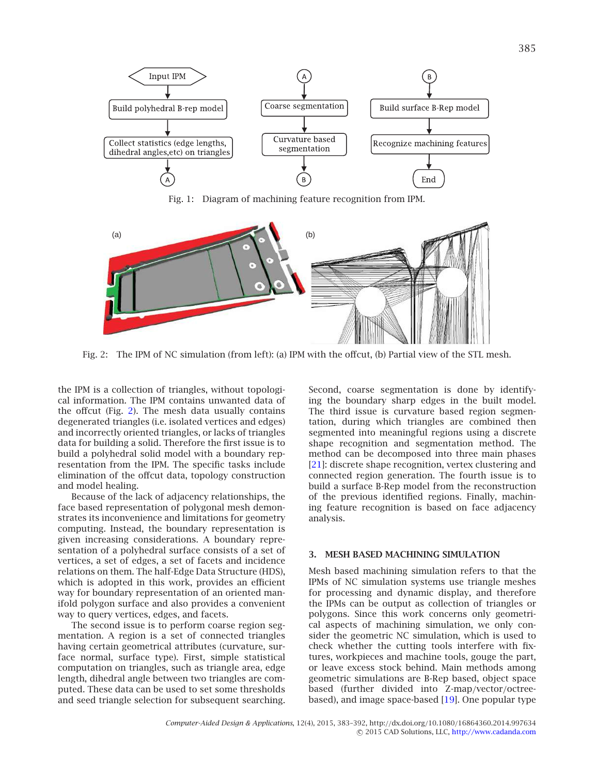

<span id="page-2-1"></span>Fig. 1: Diagram of machining feature recognition from IPM.



<span id="page-2-2"></span>Fig. 2: The IPM of NC simulation (from left): (a) IPM with the offcut, (b) Partial view of the STL mesh.

the IPM is a collection of triangles, without topological information. The IPM contains unwanted data of the offcut (Fig. [2\)](#page-2-2). The mesh data usually contains degenerated triangles (i.e. isolated vertices and edges) and incorrectly oriented triangles, or lacks of triangles data for building a solid. Therefore the first issue is to build a polyhedral solid model with a boundary representation from the IPM. The specific tasks include elimination of the offcut data, topology construction and model healing.

Because of the lack of adjacency relationships, the face based representation of polygonal mesh demonstrates its inconvenience and limitations for geometry computing. Instead, the boundary representation is given increasing considerations. A boundary representation of a polyhedral surface consists of a set of vertices, a set of edges, a set of facets and incidence relations on them. The half-Edge Data Structure (HDS), which is adopted in this work, provides an efficient way for boundary representation of an oriented manifold polygon surface and also provides a convenient way to query vertices, edges, and facets.

The second issue is to perform coarse region segmentation. A region is a set of connected triangles having certain geometrical attributes (curvature, surface normal, surface type). First, simple statistical computation on triangles, such as triangle area, edge length, dihedral angle between two triangles are computed. These data can be used to set some thresholds and seed triangle selection for subsequent searching.

Second, coarse segmentation is done by identifying the boundary sharp edges in the built model. The third issue is curvature based region segmentation, during which triangles are combined then segmented into meaningful regions using a discrete shape recognition and segmentation method. The method can be decomposed into three main phases [\[21](#page-9-7)]: discrete shape recognition, vertex clustering and connected region generation. The fourth issue is to build a surface B-Rep model from the reconstruction of the previous identified regions. Finally, machining feature recognition is based on face adjacency analysis.

## <span id="page-2-0"></span>**3. MESH BASED MACHINING SIMULATION**

Mesh based machining simulation refers to that the IPMs of NC simulation systems use triangle meshes for processing and dynamic display, and therefore the IPMs can be output as collection of triangles or polygons. Since this work concerns only geometrical aspects of machining simulation, we only consider the geometric NC simulation, which is used to check whether the cutting tools interfere with fixtures, workpieces and machine tools, gouge the part, or leave excess stock behind. Main methods among geometric simulations are B-Rep based, object space based (further divided into Z-map/vector/octreebased), and image space-based [\[19\]](#page-9-8). One popular type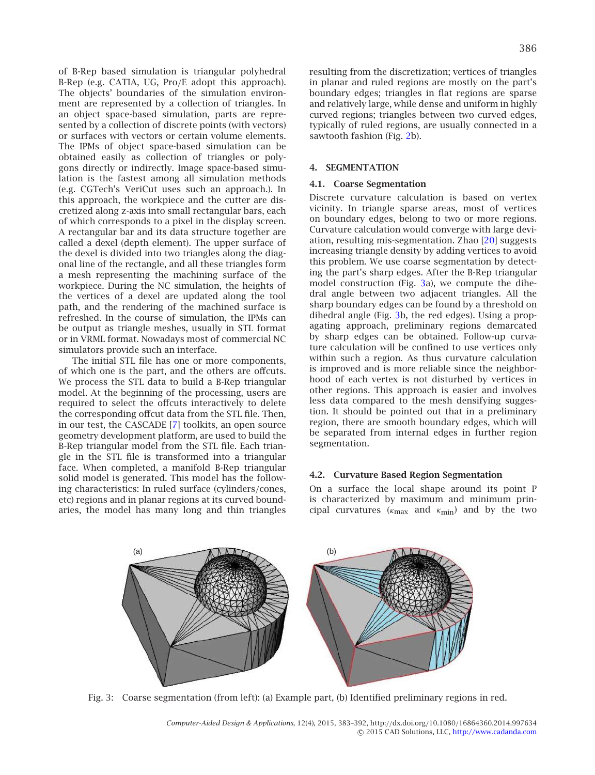of B-Rep based simulation is triangular polyhedral B-Rep (e.g. CATIA, UG, Pro/E adopt this approach). The objects' boundaries of the simulation environment are represented by a collection of triangles. In an object space-based simulation, parts are represented by a collection of discrete points (with vectors) or surfaces with vectors or certain volume elements. The IPMs of object space-based simulation can be obtained easily as collection of triangles or polygons directly or indirectly. Image space-based simulation is the fastest among all simulation methods (e.g. CGTech's VeriCut uses such an approach.). In this approach, the workpiece and the cutter are discretized along z-axis into small rectangular bars, each of which corresponds to a pixel in the display screen. A rectangular bar and its data structure together are called a dexel (depth element). The upper surface of the dexel is divided into two triangles along the diagonal line of the rectangle, and all these triangles form a mesh representing the machining surface of the workpiece. During the NC simulation, the heights of the vertices of a dexel are updated along the tool path, and the rendering of the machined surface is refreshed. In the course of simulation, the IPMs can be output as triangle meshes, usually in STL format or in VRML format. Nowadays most of commercial NC simulators provide such an interface.

The initial STL file has one or more components, of which one is the part, and the others are offcuts. We process the STL data to build a B-Rep triangular model. At the beginning of the processing, users are required to select the offcuts interactively to delete the corresponding offcut data from the STL file. Then, in our test, the CASCADE [\[7\]](#page-8-4) toolkits, an open source geometry development platform, are used to build the B-Rep triangular model from the STL file. Each triangle in the STL file is transformed into a triangular face. When completed, a manifold B-Rep triangular solid model is generated. This model has the following characteristics: In ruled surface (cylinders/cones, etc) regions and in planar regions at its curved boundaries, the model has many long and thin triangles resulting from the discretization; vertices of triangles in planar and ruled regions are mostly on the part's boundary edges; triangles in flat regions are sparse and relatively large, while dense and uniform in highly curved regions; triangles between two curved edges, typically of ruled regions, are usually connected in a sawtooth fashion (Fig. [2b](#page-2-2)).

## **4. SEGMENTATION**

#### **4.1. Coarse Segmentation**

Discrete curvature calculation is based on vertex vicinity. In triangle sparse areas, most of vertices on boundary edges, belong to two or more regions. Curvature calculation would converge with large deviation, resulting mis-segmentation. Zhao [\[20\]](#page-9-9) suggests increasing triangle density by adding vertices to avoid this problem. We use coarse segmentation by detecting the part's sharp edges. After the B-Rep triangular model construction (Fig. [3a](#page-3-0)), we compute the dihedral angle between two adjacent triangles. All the sharp boundary edges can be found by a threshold on dihedral angle (Fig. [3b](#page-3-0), the red edges). Using a propagating approach, preliminary regions demarcated by sharp edges can be obtained. Follow-up curvature calculation will be confined to use vertices only within such a region. As thus curvature calculation is improved and is more reliable since the neighborhood of each vertex is not disturbed by vertices in other regions. This approach is easier and involves less data compared to the mesh densifying suggestion. It should be pointed out that in a preliminary region, there are smooth boundary edges, which will be separated from internal edges in further region segmentation.

#### **4.2. Curvature Based Region Segmentation**

On a surface the local shape around its point P is characterized by maximum and minimum principal curvatures ( $\kappa_{\text{max}}$  and  $\kappa_{\text{min}}$ ) and by the two

<span id="page-3-0"></span>

Fig. 3: Coarse segmentation (from left): (a) Example part, (b) Identified preliminary regions in red.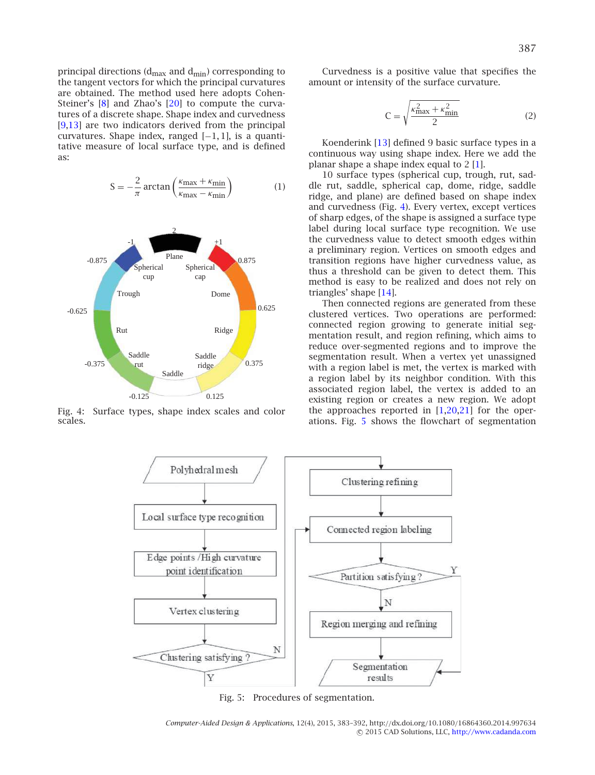principal directions ( $d_{\text{max}}$  and  $d_{\text{min}}$ ) corresponding to the tangent vectors for which the principal curvatures are obtained. The method used here adopts Cohen-Steiner's [\[8](#page-8-5)] and Zhao's [\[20\]](#page-9-9) to compute the curvatures of a discrete shape. Shape index and curvedness [\[9](#page-9-10)[,13\]](#page-9-11) are two indicators derived from the principal curvatures. Shape index, ranged [−1, 1], is a quantitative measure of local surface type, and is defined as:

$$
S = -\frac{2}{\pi} \arctan\left(\frac{\kappa_{\text{max}} + \kappa_{\text{min}}}{\kappa_{\text{max}} - \kappa_{\text{min}}}\right) \tag{1}
$$



<span id="page-4-0"></span>Fig. 4: Surface types, shape index scales and color scales.

Curvedness is a positive value that specifies the amount or intensity of the surface curvature.

$$
C = \sqrt{\frac{\kappa_{\text{max}}^2 + \kappa_{\text{min}}^2}{2}} \tag{2}
$$

Koenderink [\[13](#page-9-11)] defined 9 basic surface types in a continuous way using shape index. Here we add the planar shape a shape index equal to  $2 \lfloor 1 \rfloor$ .

10 surface types (spherical cup, trough, rut, saddle rut, saddle, spherical cap, dome, ridge, saddle ridge, and plane) are defined based on shape index and curvedness (Fig. [4\)](#page-4-0). Every vertex, except vertices of sharp edges, of the shape is assigned a surface type label during local surface type recognition. We use the curvedness value to detect smooth edges within a preliminary region. Vertices on smooth edges and transition regions have higher curvedness value, as thus a threshold can be given to detect them. This method is easy to be realized and does not rely on triangles' shape [\[14](#page-9-4)].

Then connected regions are generated from these clustered vertices. Two operations are performed: connected region growing to generate initial segmentation result, and region refining, which aims to reduce over-segmented regions and to improve the segmentation result. When a vertex yet unassigned with a region label is met, the vertex is marked with a region label by its neighbor condition. With this associated region label, the vertex is added to an existing region or creates a new region. We adopt the approaches reported in  $[1,20,21]$  $[1,20,21]$  $[1,20,21]$  for the operations. Fig. [5](#page-4-1) shows the flowchart of segmentation



<span id="page-4-1"></span>Fig. 5: Procedures of segmentation.

*Computer-Aided Design & Applications*, 12(4), 2015, 383–392, http://dx.doi.org/10.1080/16864360.2014.997634 © 2015 CAD Solutions, LLC, <http://www.cadanda.com>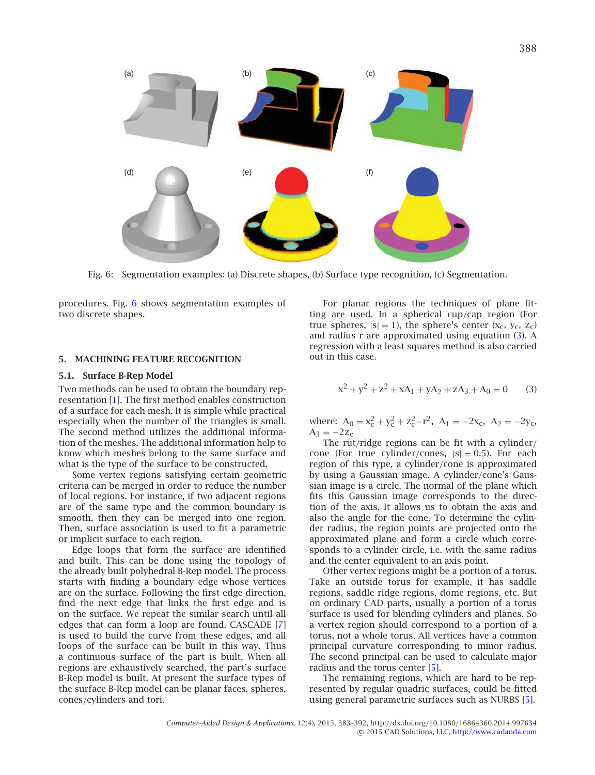

<span id="page-5-1"></span>Fig. 6: Segmentation examples: (a) Discrete shapes, (b) Surface type recognition, (c) Segmentation.

procedures. Fig. [6](#page-5-1) shows segmentation examples of two discrete shapes.

## <span id="page-5-0"></span>**5. MACHINING FEATURE RECOGNITION**

#### **5.1. Surface B-Rep Model**

Two methods can be used to obtain the boundary representation [\[1](#page-8-6)]. The first method enables construction of a surface for each mesh. It is simple while practical especially when the number of the triangles is small. The second method utilizes the additional information of the meshes. The additional information help to know which meshes belong to the same surface and what is the type of the surface to be constructed.

Some vertex regions satisfying certain geometric criteria can be merged in order to reduce the number of local regions. For instance, if two adjacent regions are of the same type and the common boundary is smooth, then they can be merged into one region. Then, surface association is used to fit a parametric or implicit surface to each region.

Edge loops that form the surface are identified and built. This can be done using the topology of the already built polyhedral B-Rep model. The process starts with finding a boundary edge whose vertices are on the surface. Following the first edge direction, find the next edge that links the first edge and is on the surface. We repeat the similar search until all edges that can form a loop are found. CASCADE [\[7](#page-8-4)] is used to build the curve from these edges, and all loops of the surface can be built in this way. Thus a continuous surface of the part is built. When all regions are exhaustively searched, the part's surface B-Rep model is built. At present the surface types of the surface B-Rep model can be planar faces, spheres, cones/cylinders and tori.

For planar regions the techniques of plane fitting are used. In a spherical cup/cap region (For true spheres,  $|s| = 1$ ), the sphere's center  $(x_c, y_c, z_c)$ and radius r are approximated using equation [\(3\)](#page-5-2). A regression with a least squares method is also carried out in this case.

<span id="page-5-2"></span>
$$
x^{2} + y^{2} + z^{2} + xA_{1} + yA_{2} + zA_{3} + A_{0} = 0
$$
 (3)

where:  $A_0 = x_c^2 + y_c^2 + z_c^2 - r^2$ ,  $A_1 = -2x_c$ ,  $A_2 = -2y_c$ ,  $A_3 = -2z_c$ 

The rut/ridge regions can be fit with a cylinder/ cone (For true cylinder/cones,  $|s| = 0.5$ ). For each region of this type, a cylinder/cone is approximated by using a Gaussian image. A cylinder/cone's Gaussian image is a circle. The normal of the plane which fits this Gaussian image corresponds to the direction of the axis. It allows us to obtain the axis and also the angle for the cone. To determine the cylinder radius, the region points are projected onto the approximated plane and form a circle which corresponds to a cylinder circle, i.e. with the same radius and the center equivalent to an axis point.

Other vertex regions might be a portion of a torus. Take an outside torus for example, it has saddle regions, saddle ridge regions, dome regions, etc. But on ordinary CAD parts, usually a portion of a torus surface is used for blending cylinders and planes. So a vertex region should correspond to a portion of a torus, not a whole torus. All vertices have a common principal curvature corresponding to minor radius. The second principal can be used to calculate major radius and the torus center [\[5](#page-8-7)].

The remaining regions, which are hard to be represented by regular quadric surfaces, could be fitted using general parametric surfaces such as NURBS [\[5](#page-8-7)].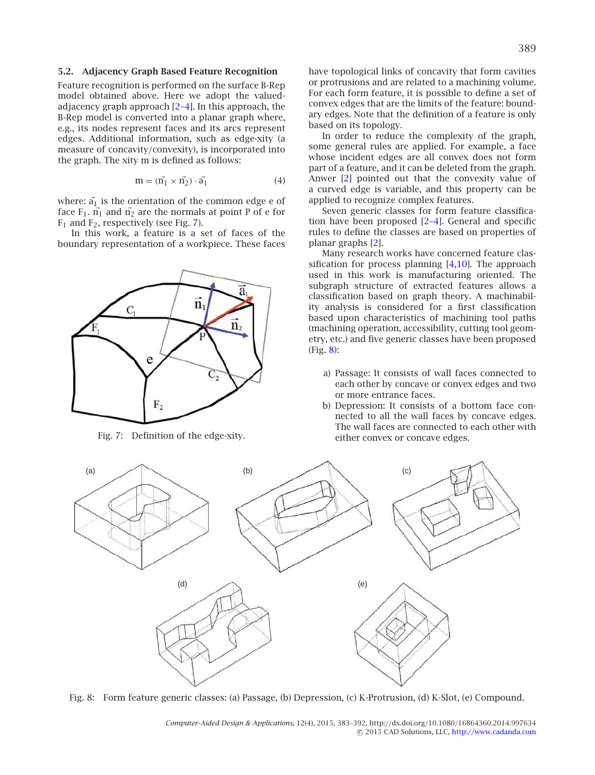#### **5.2. Adjacency Graph Based Feature Recognition**

Feature recognition is performed on the surface B-Rep model obtained above. Here we adopt the valuedadjacency graph approach [\[2](#page-8-1)[–4\]](#page-8-2). In this approach, the B-Rep model is converted into a planar graph where, e.g., its nodes represent faces and its arcs represent edges. Additional information, such as edge-xity (a measure of concavity/convexity), is incorporated into the graph. The xity m is defined as follows:

$$
\mathbf{m} = (\vec{n_1} \times \vec{n_2}) \cdot \vec{a_1} \tag{4}
$$

where:  $a_1$  is the orientation of the common edge e of face  $F_1$ .  $n_1$  and  $n_2$  are the normals at point P of e for  $F_1$  and  $F_2$ , respectively (see Fig. [7\)](#page-6-0).

In this work, a feature is a set of faces of the boundary representation of a workpiece. These faces



Fig. 7: Definition of the edge-xity.

have topological links of concavity that form cavities or protrusions and are related to a machining volume. For each form feature, it is possible to define a set of convex edges that are the limits of the feature: boundary edges. Note that the definition of a feature is only based on its topology.

In order to reduce the complexity of the graph, some general rules are applied. For example, a face whose incident edges are all convex does not form part of a feature, and it can be deleted from the graph. Anwer [\[2\]](#page-8-1) pointed out that the convexity value of a curved edge is variable, and this property can be applied to recognize complex features.

Seven generic classes for form feature classification have been proposed [\[2](#page-8-1)[–4\]](#page-8-2). General and specific rules to define the classes are based on properties of planar graphs [\[2\]](#page-8-1).

Many research works have concerned feature classification for process planning  $[4,10]$  $[4,10]$ . The approach used in this work is manufacturing oriented. The subgraph structure of extracted features allows a classification based on graph theory. A machinability analysis is considered for a first classification based upon characteristics of machining tool paths (machining operation, accessibility, cutting tool geometry, etc.) and five generic classes have been proposed  $(Fig. 8):$  $(Fig. 8):$  $(Fig. 8):$ 

- a) Passage: It consists of wall faces connected to each other by concave or convex edges and two or more entrance faces.
- b) Depression: It consists of a bottom face connected to all the wall faces by concave edges. The wall faces are connected to each other with either convex or concave edges.

<span id="page-6-0"></span>

<span id="page-6-1"></span>Fig. 8: Form feature generic classes: (a) Passage, (b) Depression, (c) K-Protrusion, (d) K-Slot, (e) Compound.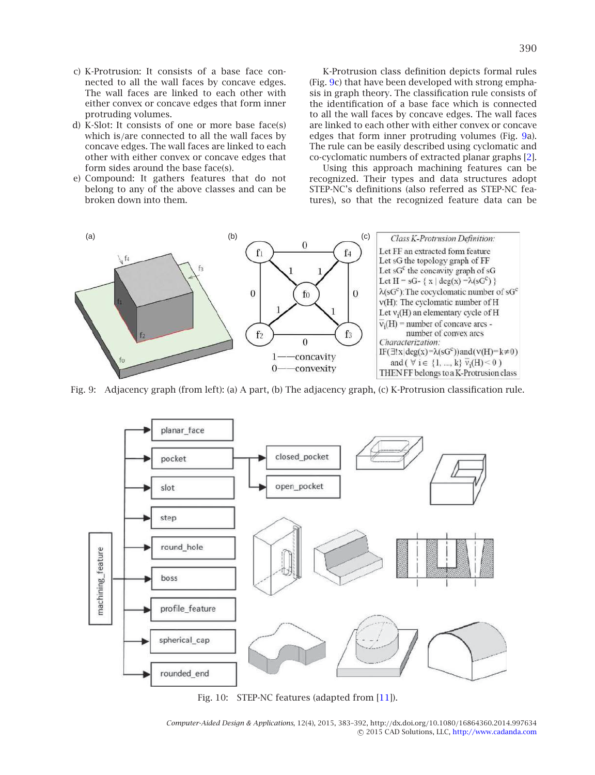- c) K-Protrusion: It consists of a base face connected to all the wall faces by concave edges. The wall faces are linked to each other with either convex or concave edges that form inner protruding volumes.
- d) K-Slot: It consists of one or more base face(s) which is/are connected to all the wall faces by concave edges. The wall faces are linked to each other with either convex or concave edges that form sides around the base face(s).
- e) Compound: It gathers features that do not belong to any of the above classes and can be broken down into them.

K-Protrusion class definition depicts formal rules (Fig. [9c](#page-7-0)) that have been developed with strong emphasis in graph theory. The classification rule consists of the identification of a base face which is connected to all the wall faces by concave edges. The wall faces are linked to each other with either convex or concave edges that form inner protruding volumes (Fig. [9a](#page-7-0)). The rule can be easily described using cyclomatic and co-cyclomatic numbers of extracted planar graphs [\[2](#page-8-1)].

Using this approach machining features can be recognized. Their types and data structures adopt STEP-NC's definitions (also referred as STEP-NC features), so that the recognized feature data can be



Fig. 9: Adjacency graph (from left): (a) A part, (b) The adjacency graph, (c) K-Protrusion classification rule.

<span id="page-7-0"></span>

<span id="page-7-1"></span>Fig. 10: STEP-NC features (adapted from [\[11\]](#page-9-12)).

*Computer-Aided Design & Applications*, 12(4), 2015, 383–392, http://dx.doi.org/10.1080/16864360.2014.997634 © 2015 CAD Solutions, LLC, <http://www.cadanda.com>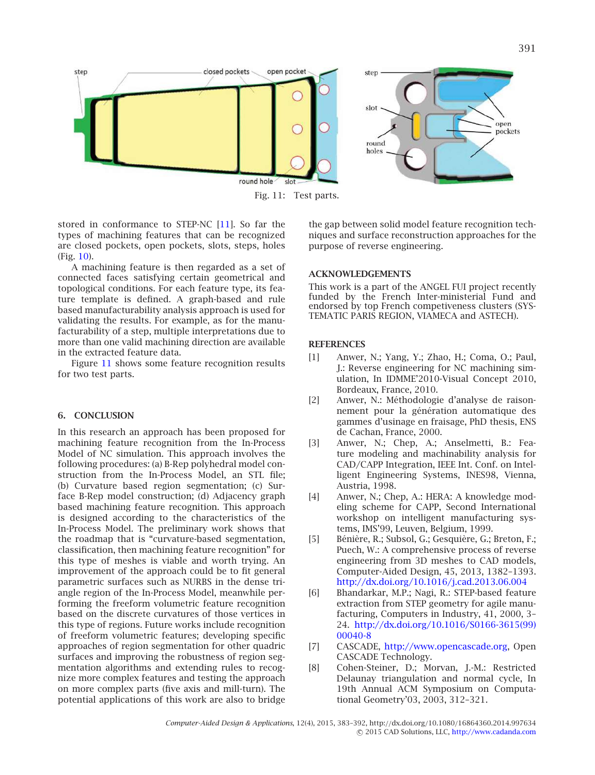

Fig. 11: Test parts.

stored in conformance to STEP-NC [\[11](#page-9-12)]. So far the types of machining features that can be recognized are closed pockets, open pockets, slots, steps, holes (Fig. [10\)](#page-7-1).

A machining feature is then regarded as a set of connected faces satisfying certain geometrical and topological conditions. For each feature type, its feature template is defined. A graph-based and rule based manufacturability analysis approach is used for validating the results. For example, as for the manufacturability of a step, multiple interpretations due to more than one valid machining direction are available in the extracted feature data.

Figure [11](#page-8-8) shows some feature recognition results for two test parts.

# <span id="page-8-3"></span>**6. CONCLUSION**

In this research an approach has been proposed for machining feature recognition from the In-Process Model of NC simulation. This approach involves the following procedures: (a) B-Rep polyhedral model construction from the In-Process Model, an STL file; (b) Curvature based region segmentation; (c) Surface B-Rep model construction; (d) Adjacency graph based machining feature recognition. This approach is designed according to the characteristics of the In-Process Model. The preliminary work shows that the roadmap that is "curvature-based segmentation, classification, then machining feature recognition" for this type of meshes is viable and worth trying. An improvement of the approach could be to fit general parametric surfaces such as NURBS in the dense triangle region of the In-Process Model, meanwhile performing the freeform volumetric feature recognition based on the discrete curvatures of those vertices in this type of regions. Future works include recognition of freeform volumetric features; developing specific approaches of region segmentation for other quadric surfaces and improving the robustness of region segmentation algorithms and extending rules to recognize more complex features and testing the approach on more complex parts (five axis and mill-turn). The potential applications of this work are also to bridge

<span id="page-8-8"></span>the gap between solid model feature recognition techniques and surface reconstruction approaches for the purpose of reverse engineering.

# **ACKNOWLEDGEMENTS**

This work is a part of the ANGEL FUI project recently funded by the French Inter-ministerial Fund and endorsed by top French competiveness clusters (SYS-TEMATIC PARIS REGION, VIAMECA and ASTECH).

# **REFERENCES**

- <span id="page-8-6"></span>[1] Anwer, N.; Yang, Y.; Zhao, H.; Coma, O.; Paul, J.: Reverse engineering for NC machining simulation, In IDMME'2010-Visual Concept 2010, Bordeaux, France, 2010.
- <span id="page-8-1"></span>[2] Anwer, N.: Méthodologie d'analyse de raisonnement pour la génération automatique des gammes d'usinage en fraisage, PhD thesis, ENS de Cachan, France, 2000.
- [3] Anwer, N.; Chep, A.; Anselmetti, B.: Feature modeling and machinability analysis for CAD/CAPP Integration, IEEE Int. Conf. on Intelligent Engineering Systems, INES98, Vienna, Austria, 1998.
- <span id="page-8-2"></span>[4] Anwer, N.; Chep, A.: HERA: A knowledge modeling scheme for CAPP, Second International workshop on intelligent manufacturing systems, IMS'99, Leuven, Belgium, 1999.
- <span id="page-8-7"></span>[5] Bénière, R.; Subsol, G.; Gesquière, G.; Breton, F.; Puech, W.: A comprehensive process of reverse engineering from 3D meshes to CAD models, Computer-Aided Design, 45, 2013, 1382–1393. <http://dx.doi.org/10.1016/j.cad.2013.06.004>
- <span id="page-8-0"></span>[6] Bhandarkar, M.P.; Nagi, R.: STEP-based feature extraction from STEP geometry for agile manufacturing, Computers in Industry, 41, 2000, 3– 24. [http://dx.doi.org/10.1016/S0166-3615\(99\)](http://dx.doi.org/10.1016/S0166-3615(99)00040-8) [00040-8](http://dx.doi.org/10.1016/S0166-3615(99)00040-8)
- <span id="page-8-4"></span>[7] CASCADE, [http://www.opencascade.org,](http://www.opencascade.org) Open CASCADE Technology.
- <span id="page-8-5"></span>[8] Cohen-Steiner, D.; Morvan, J.-M.: Restricted Delaunay triangulation and normal cycle, In 19th Annual ACM Symposium on Computational Geometry'03, 2003, 312–321.